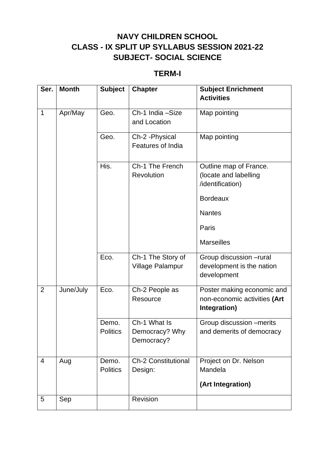## **NAVY CHILDREN SCHOOL CLASS - IX SPLIT UP SYLLABUS SESSION 2021-22 SUBJECT- SOCIAL SCIENCE**

## **TERM-I**

| Ser.           | <b>Month</b> | <b>Subject</b>           | <b>Chapter</b>                               | <b>Subject Enrichment</b><br><b>Activities</b>                                                                                        |
|----------------|--------------|--------------------------|----------------------------------------------|---------------------------------------------------------------------------------------------------------------------------------------|
|                |              |                          |                                              |                                                                                                                                       |
| 1              | Apr/May      | Geo.                     | Ch-1 India -Size<br>and Location             | Map pointing                                                                                                                          |
|                |              | Geo.                     | Ch-2 - Physical<br>Features of India         | Map pointing                                                                                                                          |
|                |              | His.                     | Ch-1 The French<br><b>Revolution</b>         | Outline map of France.<br>(locate and labelling<br>/identification)<br><b>Bordeaux</b><br><b>Nantes</b><br>Paris<br><b>Marseilles</b> |
|                |              | Eco.                     | Ch-1 The Story of<br><b>Village Palampur</b> | Group discussion - rural<br>development is the nation<br>development                                                                  |
| $\overline{2}$ | June/July    | Eco.                     | Ch-2 People as<br>Resource                   | Poster making economic and<br>non-economic activities (Art<br>Integration)                                                            |
|                |              | Demo.<br><b>Politics</b> | Ch-1 What Is<br>Democracy? Why<br>Democracy? | Group discussion -merits<br>and demerits of democracy                                                                                 |
| $\overline{4}$ | Aug          | Demo.<br><b>Politics</b> | <b>Ch-2 Constitutional</b><br>Design:        | Project on Dr. Nelson<br>Mandela<br>(Art Integration)                                                                                 |
| 5              | Sep          |                          | Revision                                     |                                                                                                                                       |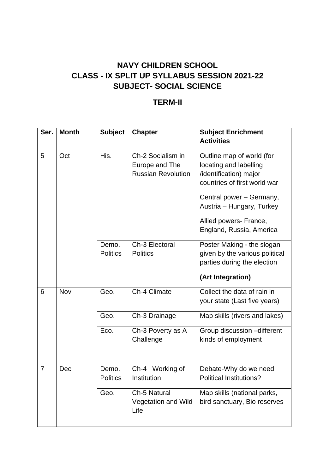## **NAVY CHILDREN SCHOOL CLASS - IX SPLIT UP SYLLABUS SESSION 2021-22 SUBJECT- SOCIAL SCIENCE**

## **TERM-II**

| Ser. | <b>Month</b> | <b>Subject</b>           | <b>Chapter</b>                                                   | <b>Subject Enrichment</b><br><b>Activities</b>                                                                                                                                                                               |
|------|--------------|--------------------------|------------------------------------------------------------------|------------------------------------------------------------------------------------------------------------------------------------------------------------------------------------------------------------------------------|
|      |              |                          |                                                                  |                                                                                                                                                                                                                              |
| 5    | Oct          | His.                     | Ch-2 Socialism in<br>Europe and The<br><b>Russian Revolution</b> | Outline map of world (for<br>locating and labelling<br>/identification) major<br>countries of first world war<br>Central power - Germany,<br>Austria - Hungary, Turkey<br>Allied powers- France,<br>England, Russia, America |
|      |              | Demo.<br><b>Politics</b> | Ch-3 Electoral<br><b>Politics</b>                                | Poster Making - the slogan<br>given by the various political<br>parties during the election<br>(Art Integration)                                                                                                             |
| 6    | Nov          | Geo.                     | Ch-4 Climate                                                     | Collect the data of rain in<br>your state (Last five years)                                                                                                                                                                  |
|      |              | Geo.                     | Ch-3 Drainage                                                    | Map skills (rivers and lakes)                                                                                                                                                                                                |
|      |              | Eco.                     | Ch-3 Poverty as A<br>Challenge                                   | Group discussion - different<br>kinds of employment                                                                                                                                                                          |
| 7    | Dec          | Demo.<br><b>Politics</b> | Ch-4 Working of<br>Institution                                   | Debate-Why do we need<br>Political Institutions?                                                                                                                                                                             |
|      |              | Geo.                     | Ch-5 Natural<br><b>Vegetation and Wild</b><br>Life               | Map skills (national parks,<br>bird sanctuary, Bio reserves                                                                                                                                                                  |